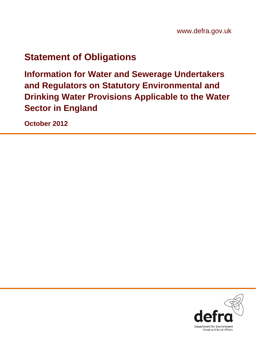# **Statement of Obligations**

**Information for Water and Sewerage Undertakers and Regulators on Statutory Environmental and Drinking Water Provisions Applicable to the Water Sector in England** 

**October 2012**

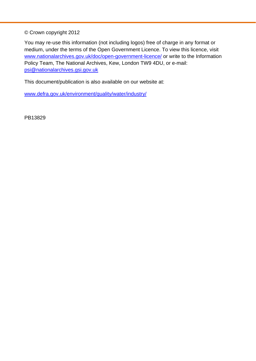© Crown copyright 2012

You may re-use this information (not including logos) free of charge in any format or medium, under the terms of the Open Government Licence. To view this licence, visit [www.nationalarchives.gov.uk/doc/open-government-licence/](http://www.nationalarchives.gov.uk/doc/open-government-licence/) or write to the Information Policy Team, The National Archives, Kew, London TW9 4DU, or e-mail: [psi@nationalarchives.gsi.gov.uk](mailto:psi@nationalarchives.gsi.gov.uk)

This document/publication is also available on our website at:

[www.defra.gov.uk/environment/quality/water/industry/](http://www.defra.gov.uk/environment/quality/water/industry/)

PB13829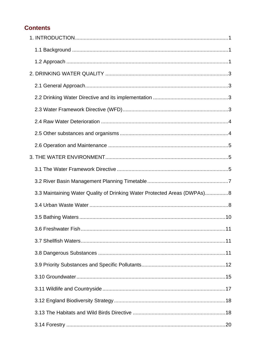# **Contents**

| 3.3 Maintaining Water Quality of Drinking Water Protected Areas (DWPAs)8 |  |
|--------------------------------------------------------------------------|--|
|                                                                          |  |
|                                                                          |  |
|                                                                          |  |
|                                                                          |  |
|                                                                          |  |
|                                                                          |  |
|                                                                          |  |
|                                                                          |  |
|                                                                          |  |
|                                                                          |  |
|                                                                          |  |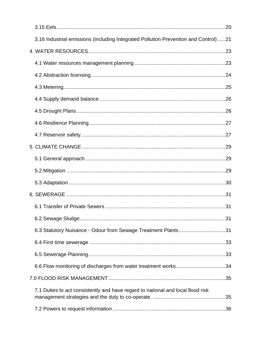| 3.16 Industrial emissions (including Integrated Pollution Prevention and Control) 21 |  |
|--------------------------------------------------------------------------------------|--|
|                                                                                      |  |
|                                                                                      |  |
|                                                                                      |  |
|                                                                                      |  |
|                                                                                      |  |
|                                                                                      |  |
|                                                                                      |  |
|                                                                                      |  |
|                                                                                      |  |
|                                                                                      |  |
|                                                                                      |  |
|                                                                                      |  |
|                                                                                      |  |
|                                                                                      |  |
|                                                                                      |  |
| 6.3 Statutory Nuisance - Odour from Sewage Treatment Plants31                        |  |
|                                                                                      |  |
|                                                                                      |  |
|                                                                                      |  |
|                                                                                      |  |
| 7.1 Duties to act consistently and have regard to national and local flood risk      |  |
|                                                                                      |  |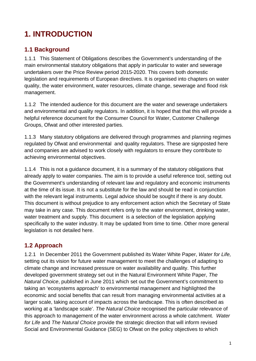# <span id="page-4-0"></span>**1. INTRODUCTION**

### **1.1 Background**

1.1.1 This Statement of Obligations describes the Government's understanding of the main environmental statutory obligations that apply in particular to water and sewerage undertakers over the Price Review period 2015-2020. This covers both domestic legislation and requirements of European directives. It is organised into chapters on water quality, the water environment, water resources, climate change, sewerage and flood risk management.

1.1.2 The intended audience for this document are the water and sewerage undertakers and environmental and quality regulators. In addition, it is hoped that that this will provide a helpful reference document for the Consumer Council for Water, Customer Challenge Groups, Ofwat and other interested parties.

1.1.3 Many statutory obligations are delivered through programmes and planning regimes regulated by Ofwat and environmental and quality regulators. These are signposted here and companies are advised to work closely with regulators to ensure they contribute to achieving environmental objectives.

1.1.4 This is not a guidance document, it is a summary of the statutory obligations that already apply to water companies. The aim is to provide a useful reference tool, setting out the Government's understanding of relevant law and regulatory and economic instruments at the time of its issue. It is not a substitute for the law and should be read in conjunction with the relevant legal instruments. Legal advice should be sought if there is any doubt. This document is without prejudice to any enforcement action which the Secretary of State may take in any case. This document refers only to the water environment, drinking water, water treatment and supply. This document is a selection of the legislation applying specifically to the water industry. It may be updated from time to time. Other more general legislation is not detailed here.

# **1.2 Approach**

1.2.1 In December 2011 the Government published its Water White Paper, *Water for Life,*  setting out its vision for future water management to meet the challenges of adapting to climate change and increased pressure on water availability and quality. This further developed government strategy set out in the Natural Environment White Paper, *The Natural Choice*, published in June 2011 which set out the Government's commitment to taking an 'ecosystems approach' to environmental management and highlighted the economic and social benefits that can result from managing environmental activities at a larger scale, taking account of impacts across the landscape. This is often described as working at a 'landscape scale'. *The Natural Choice* recognised the particular relevance of this approach to management of the water environment across a whole catchment. *Water for Life* and *The Natural Choice* provide the strategic direction that will inform revised Social and Environmental Guidance (SEG) to Ofwat on the policy objectives to which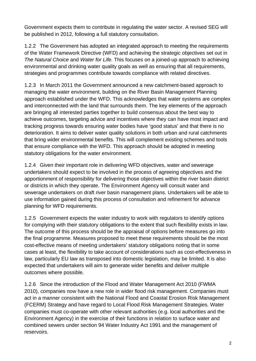Government expects them to contribute in regulating the water sector. A revised SEG will be published in 2012, following a full statutory consultation.

1.2.2 The Government has adopted an integrated approach to meeting the requirements of the Water Framework Directive (WFD) and achieving the strategic objectives set out in *The Natural Choice* and *Water for Life.* This focuses on a joined-up approach to achieving environmental and drinking water quality goals as well as ensuring that all requirements, strategies and programmes contribute towards compliance with related directives.

1.2.3 In March 2011 the Government announced a new catchment-based approach to managing the water environment, building on the River Basin Management Planning approach established under the WFD. This acknowledges that water systems are complex and interconnected with the land that surrounds them. The key elements of the approach are bringing all interested parties together to build consensus about the best way to achieve outcomes, targeting advice and incentives where they can have most impact and tracking progress towards ensuring water bodies have 'good status' and that there is no deterioration. It aims to deliver water quality solutions in both urban and rural catchments that bring wider environmental benefits. This will complement existing schemes and tools that ensure compliance with the WFD. This approach should be adopted in meeting statutory obligations for the water environment.

1.2.4 Given their important role in delivering WFD objectives, water and sewerage undertakers should expect to be involved in the process of agreeing objectives and the apportionment of responsibility for delivering those objectives within the river basin district or districts in which they operate. The Environment Agency will consult water and sewerage undertakers on draft river basin management plans. Undertakers will be able to use information gained during this process of consultation and refinement for advance planning for WFD requirements.

1.2.5 Government expects the water industry to work with regulators to identify options for complying with their statutory obligations to the extent that such flexibility exists in law. The outcome of this process should be the appraisal of options before measures go into the final programme. Measures proposed to meet these requirements should be the most cost-effective means of meeting undertakers' statutory obligations noting that in some cases at least, the flexibility to take account of considerations such as cost-effectiveness in law, particularly EU law as transposed into domestic legislation, may be limited. It is also expected that undertakers will aim to generate wider benefits and deliver multiple outcomes where possible.

1.2.6 Since the introduction of the Flood and Water Management Act 2010 (FWMA 2010), companies now have a new role in wider flood risk management. Companies must act in a manner consistent with the National Flood and Coastal Erosion Risk Management (FCERM) Strategy and have regard to Local Flood Risk Management Strategies. Water companies must co-operate with other relevant authorities (e.g. local authorities and the Environment Agency) in the exercise of their functions in relation to surface water and combined sewers under section 94 Water Industry Act 1991 and the management of reservoirs.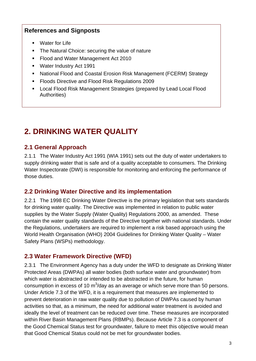### <span id="page-6-0"></span>**References and Signposts**

- **Water for Life**
- The Natural Choice: securing the value of nature
- Flood and Water Management Act 2010
- Water Industry Act 1991
- National Flood and Coastal Erosion Risk Management (FCERM) Strategy
- **Floods Directive and Flood Risk Regulations 2009**
- Local Flood Risk Management Strategies (prepared by Lead Local Flood Authorities)

# **2. DRINKING WATER QUALITY**

# **2.1 General Approach**

2.1.1 The Water Industry Act 1991 (WIA 1991) sets out the duty of water undertakers to supply drinking water that is safe and of a quality acceptable to consumers. The Drinking Water Inspectorate (DWI) is responsible for monitoring and enforcing the performance of those duties.

#### **2.2 Drinking Water Directive and its implementation**

2.2.1 The 1998 EC Drinking Water Directive is the primary legislation that sets standards for drinking water quality. The Directive was implemented in relation to public water supplies by the Water Supply (Water Quality) Regulations 2000, as amended. These contain the water quality standards of the Directive together with national standards. Under the Regulations, undertakers are required to implement a risk based approach using the World Health Organisation (WHO) 2004 Guidelines for Drinking Water Quality – Water Safety Plans (WSPs) methodology.

#### **2.3 Water Framework Directive (WFD)**

2.3.1 The Environment Agency has a duty under the WFD to designate as Drinking Water Protected Areas (DWPAs) all water bodies (both surface water and groundwater) from which water is abstracted or intended to be abstracted in the future, for human consumption in excess of 10 m<sup>3</sup>/day as an average or which serve more than 50 persons. Under Article 7.3 of the WFD, it is a requirement that measures are implemented to prevent deterioration in raw water quality due to pollution of DWPAs caused by human activities so that, as a minimum, the need for additional water treatment is avoided and ideally the level of treatment can be reduced over time. These measures are incorporated within River Basin Management Plans (RBMPs). Because Article 7.3 is a component of the Good Chemical Status test for groundwater, failure to meet this objective would mean that Good Chemical Status could not be met for groundwater bodies.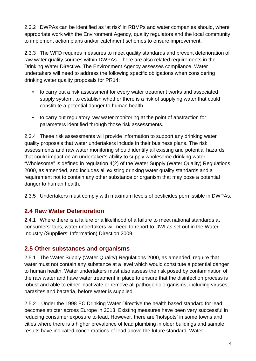<span id="page-7-0"></span>2.3.2 DWPAs can be identified as 'at risk' in RBMPs and water companies should, where appropriate work with the Environment Agency, quality regulators and the local community to implement action plans and/or catchment schemes to ensure improvement.

2.3.3 The WFD requires measures to meet quality standards and prevent deterioration of raw water quality sources within DWPAs. There are also related requirements in the Drinking Water Directive. The Environment Agency assesses compliance. Water undertakers will need to address the following specific obligations when considering drinking water quality proposals for PR14:

- to carry out a risk assessment for every water treatment works and associated supply system, to establish whether there is a risk of supplying water that could constitute a potential danger to human health.
- to carry out regulatory raw water monitoring at the point of abstraction for parameters identified through those risk assessments.

2.3.4 These risk assessments will provide information to support any drinking water quality proposals that water undertakers include in their business plans. The risk assessments and raw water monitoring should identify all existing and potential hazards that could impact on an undertaker's ability to supply wholesome drinking water. "Wholesome" is defined in regulation 4(2) of the Water Supply (Water Quality) Regulations 2000, as amended, and includes all existing drinking water quality standards and a requirement not to contain any other substance or organism that may pose a potential danger to human health.

2.3.5 Undertakers must comply with maximum levels of pesticides permissible in DWPAs.

#### **2.4 Raw Water Deterioration**

2.4.1 Where there is a failure or a likelihood of a failure to meet national standards at consumers' taps, water undertakers will need to report to DWI as set out in the Water Industry (Suppliers' Information) Direction 2009.

#### **2.5 Other substances and organisms**

2.5.1 The Water Supply (Water Quality) Regulations 2000, as amended, require that water must not contain any substance at a level which would constitute a potential danger to human health. Water undertakers must also assess the risk posed by contamination of the raw water and have water treatment in place to ensure that the disinfection process is robust and able to either inactivate or remove all pathogenic organisms, including viruses, parasites and bacteria, before water is supplied.

2.5.2 Under the 1998 EC Drinking Water Directive the health based standard for lead becomes stricter across Europe in 2013. Existing measures have been very successful in reducing consumer exposure to lead. However, there are 'hotspots' in some towns and cities where there is a higher prevalence of lead plumbing in older buildings and sample results have indicated concentrations of lead above the future standard. Water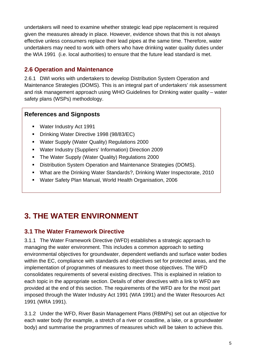<span id="page-8-0"></span>undertakers will need to examine whether strategic lead pipe replacement is required given the measures already in place. However, evidence shows that this is not always effective unless consumers replace their lead pipes at the same time. Therefore, water undertakers may need to work with others who have drinking water quality duties under the WIA 1991 (i.e. local authorities) to ensure that the future lead standard is met.

## **2.6 Operation and Maintenance**

2.6.1 DWI works with undertakers to develop Distribution System Operation and Maintenance Strategies (DOMS). This is an integral part of undertakers' risk assessment and risk management approach using WHO Guidelines for Drinking water quality – water safety plans (WSPs) methodology.

#### **References and Signposts**

- Water Industry Act 1991
- **Drinking Water Directive 1998 (98/83/EC)**
- Water Supply (Water Quality) Regulations 2000
- Water Industry (Suppliers' Information) Direction 2009
- The Water Supply (Water Quality) Regulations 2000
- **Distribution System Operation and Maintenance Strategies (DOMS).**
- What are the Drinking Water Standards?, Drinking Water Inspectorate, 2010
- Water Safety Plan Manual, World Health Organisation, 2006

# **3. THE WATER ENVIRONMENT**

#### **3.1 The Water Framework Directive**

3.1.1 The Water Framework Directive (WFD) establishes a strategic approach to managing the water environment. This includes a common approach to setting environmental objectives for groundwater, dependent wetlands and surface water bodies within the EC, compliance with standards and objectives set for protected areas, and the implementation of programmes of measures to meet those objectives. The WFD consolidates requirements of several existing directives. This is explained in relation to each topic in the appropriate section. Details of other directives with a link to WFD are provided at the end of this section. The requirements of the WFD are for the most part imposed through the Water Industry Act 1991 (WIA 1991) and the Water Resources Act 1991 (WRA 1991).

3.1.2 Under the WFD, River Basin Management Plans (RBMPs) set out an objective for each water body (for example, a stretch of a river or coastline, a lake, or a groundwater body) and summarise the programmes of measures which will be taken to achieve this.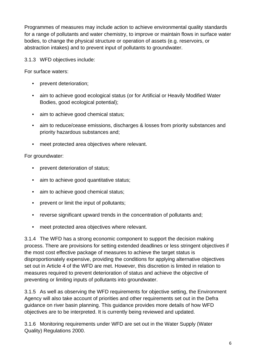Programmes of measures may include action to achieve environmental quality standards for a range of pollutants and water chemistry, to improve or maintain flows in surface water bodies, to change the physical structure or operation of assets (e.g. reservoirs, or abstraction intakes) and to prevent input of pollutants to groundwater.

3.1.3 WFD objectives include:

For surface waters:

- prevent deterioration;
- aim to achieve good ecological status (or for Artificial or Heavily Modified Water Bodies, good ecological potential);
- aim to achieve good chemical status;
- aim to reduce/cease emissions, discharges & losses from priority substances and priority hazardous substances and;
- meet protected area objectives where relevant.

#### For groundwater:

- prevent deterioration of status;
- aim to achieve good quantitative status;
- aim to achieve good chemical status;
- prevent or limit the input of pollutants;
- reverse significant upward trends in the concentration of pollutants and;
- meet protected area objectives where relevant.

3.1.4 The WFD has a strong economic component to support the decision making process. There are provisions for setting extended deadlines or less stringent objectives if the most cost effective package of measures to achieve the target status is disproportionately expensive, providing the conditions for applying alternative objectives set out in Article 4 of the WFD are met. However, this discretion is limited in relation to measures required to prevent deterioration of status and achieve the objective of preventing or limiting inputs of pollutants into groundwater.

3.1.5 As well as observing the WFD requirements for objective setting, the Environment Agency will also take account of priorities and other requirements set out in the Defra guidance on river basin planning. This guidance provides more details of how WFD objectives are to be interpreted. It is currently being reviewed and updated.

3.1.6 Monitoring requirements under WFD are set out in the Water Supply (Water Quality) Regulations 2000.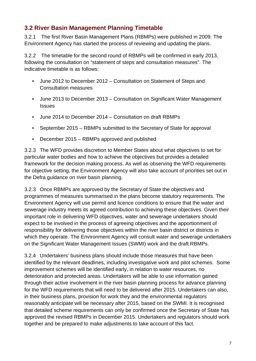## <span id="page-10-0"></span>**3.2 River Basin Management Planning Timetable**

3.2.1 The first River Basin Management Plans (RBMPs) were published in 2009. The Environment Agency has started the process of reviewing and updating the plans.

3.2.2 The timetable for the second round of RBMPs will be confirmed in early 2013, following the consultation on "statement of steps and consultation measures". The indicative timetable is as follows:

- June 2012 to December 2012 Consultation on Statement of Steps and Consultation measures
- June 2013 to December 2013 Consultation on Significant Water Management **Issues**
- June 2014 to December 2014 Consultation on draft RBMPs
- September 2015 RBMPs submitted to the Secretary of State for approval
- December 2015 RBMPs approved and published

3.2.3 The WFD provides discretion to Member States about what objectives to set for particular water bodies and how to achieve the objectives but provides a detailed framework for the decision making process. As well as observing the WFD requirements for objective setting, the Environment Agency will also take account of priorities set out in the Defra guidance on river basin planning.

3.2.3 Once RBMPs are approved by the Secretary of State the objectives and programmes of measures summarised in the plans become statutory requirements. The Environment Agency will use permit and licence conditions to ensure that the water and sewerage industry meets its agreed contribution to achieving these objectives. Given their important role in delivering WFD objectives, water and sewerage undertakers should expect to be involved in the process of agreeing objectives and the apportionment of responsibility for delivering those objectives within the river basin district or districts in which they operate. The Environment Agency will consult water and sewerage undertakers on the Significant Water Management Issues (SWMI) work and the draft RBMPs.

3.2.4 Undertakers' business plans should include those measures that have been identified by the relevant deadlines, including investigative work and pilot schemes. Some improvement schemes will be identified early, in relation to water resources, no deterioration and protected areas. Undertakers will be able to use information gained through their active involvement in the river basin planning process for advance planning for the WFD requirements that will need to be delivered after 2015. Undertakers can also, in their business plans, provision for work they and the environmental regulators reasonably anticipate will be necessary after 2015, based on the SWMI. It is recognised that detailed scheme requirements can only be confirmed once the Secretary of State has approved the revised RBMPs in December 2015. Undertakers and regulators should work together and be prepared to make adjustments to take account of this fact.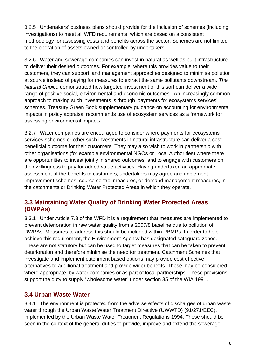<span id="page-11-0"></span>3.2.5 Undertakers' business plans should provide for the inclusion of schemes (including investigations) to meet all WFD requirements, which are based on a consistent methodology for assessing costs and benefits across the sector. Schemes are not limited to the operation of assets owned or controlled by undertakers.

3.2.6 Water and sewerage companies can invest in natural as well as built infrastructure to deliver their desired outcomes. For example, where this provides value to their customers, they can support land management approaches designed to minimise pollution at source instead of paying for measures to extract the same pollutants downstream. *The Natural Choice* demonstrated how targeted investment of this sort can deliver a wide range of positive social, environmental and economic outcomes. An increasingly common approach to making such investments is through 'payments for ecosystems services' schemes. Treasury Green Book supplementary guidance on accounting for environmental impacts in policy appraisal recommends use of ecosystem services as a framework for assessing environmental impacts.

3.2.7 Water companies are encouraged to consider where payments for ecosystems services schemes or other such investments in natural infrastructure can deliver a cost beneficial outcome for their customers. They may also wish to work in partnership with other organisations (for example environmental NGOs or Local Authorities) where there are opportunities to invest jointly in shared outcomes; and to engage with customers on their willingness to pay for added value activities. Having undertaken an appropriate assessment of the benefits to customers, undertakers may agree and implement improvement schemes, source control measures, or demand management measures, in the catchments or Drinking Water Protected Areas in which they operate.

#### **3.3 Maintaining Water Quality of Drinking Water Protected Areas (DWPAs)**

3.3.1 Under Article 7.3 of the WFD it is a requirement that measures are implemented to prevent deterioration in raw water quality from a 2007/8 baseline due to pollution of DWPAs. Measures to address this should be included within RBMPs. In order to help achieve this requirement, the Environment Agency has designated safeguard zones. These are not statutory but can be used to target measures that can be taken to prevent deterioration and therefore minimise the need for treatment. Catchment Schemes that investigate and implement catchment based options may provide cost effective alternatives to additional treatment and provide wider benefits. These may be considered, where appropriate, by water companies or as part of local partnerships. These provisions support the duty to supply "wholesome water" under section 35 of the WIA 1991.

# **3.4 Urban Waste Water**

3.4.1 The environment is protected from the adverse effects of discharges of urban waste water through the Urban Waste Water Treatment Directive (UWWTD) (91/271/EEC), implemented by the Urban Waste Water Treatment Regulations 1994. These should be seen in the context of the general duties to provide, improve and extend the sewerage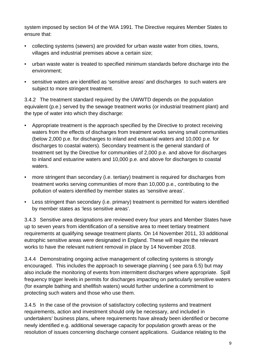system imposed by section 94 of the WIA 1991. The Directive requires Member States to ensure that:

- collecting systems (sewers) are provided for urban waste water from cities, towns, villages and industrial premises above a certain size;
- urban waste water is treated to specified minimum standards before discharge into the environment;
- sensitive waters are identified as 'sensitive areas' and discharges to such waters are subject to more stringent treatment.

3.4.2 The treatment standard required by the UWWTD depends on the population equivalent (p.e.) served by the sewage treatment works (or industrial treatment plant) and the type of water into which they discharge:

- Appropriate treatment is the approach specified by the Directive to protect receiving waters from the effects of discharges from treatment works serving small communities (below 2,000 p.e. for discharges to inland and estuarial waters and 10,000 p.e. for discharges to coastal waters). Secondary treatment is the general standard of treatment set by the Directive for communities of 2,000 p.e. and above for discharges to inland and estuarine waters and 10,000 p.e. and above for discharges to coastal waters.
- more stringent than secondary (i.e. tertiary) treatment is required for discharges from treatment works serving communities of more than 10,000 p.e., contributing to the pollution of waters identified by member states as 'sensitive areas'.
- Less stringent than secondary (i.e. primary) treatment is permitted for waters identified by member states as 'less sensitive areas'.

3.4.3 Sensitive area designations are reviewed every four years and Member States have up to seven years from identification of a sensitive area to meet tertiary treatment requirements at qualifying sewage treatment plants. On 14 November 2011, 33 additional eutrophic sensitive areas were designated in England. These will require the relevant works to have the relevant nutrient removal in place by 14 November 2018.

3.4.4 Demonstrating ongoing active management of collecting systems is strongly encouraged. This includes the approach to sewerage planning ( see para 6.5) but may also include the monitoring of events from intermittent discharges where appropriate. Spill frequency trigger levels in permits for discharges impacting on particularly sensitive waters (for example bathing and shellfish waters) would further underline a commitment to protecting such waters and those who use them.

3.4.5 In the case of the provision of satisfactory collecting systems and treatment requirements, action and investment should only be necessary, and included in undertakers' business plans, where requirements have already been identified or become newly identified e.g. additional sewerage capacity for population growth areas or the resolution of issues concerning discharge consent applications. Guidance relating to the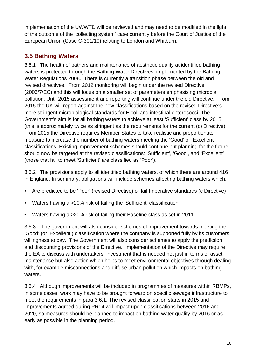<span id="page-13-0"></span>implementation of the UWWTD will be reviewed and may need to be modified in the light of the outcome of the 'collecting system' case currently before the Court of Justice of the European Union (Case C-301/10) relating to London and Whitburn.

# **3.5 Bathing Waters**

3.5.1 The health of bathers and maintenance of aesthetic quality at identified bathing waters is protected through the Bathing Water Directives, implemented by the Bathing Water Regulations 2008. There is currently a transition phase between the old and revised directives. From 2012 monitoring will begin under the revised Directive (2006/7/EC) and this will focus on a smaller set of parameters emphasising microbial pollution. Until 2015 assessment and reporting will continue under the old Directive. From 2015 the UK will report against the new classifications based on the revised Directive's more stringent microbiological standards for E.coli and intestinal enterococci. The Government's aim is for all bathing waters to achieve at least 'Sufficient' class by 2015 (this is approximately twice as stringent as the requirements for the current (c) Directive). From 2015 the Directive requires Member States to take realistic and proportionate measure to increase the number of bathing waters meeting the 'Good' or 'Excellent' classifications. Existing improvement schemes should continue but planning for the future should now be targeted at the revised classifications: 'Sufficient', 'Good', and 'Excellent' (those that fail to meet 'Sufficient' are classified as 'Poor').

3.5.2 The provisions apply to all identified bathing waters, of which there are around 416 in England. In summary, obligations will include schemes affecting bathing waters which:

- Are predicted to be 'Poor' (revised Directive) or fail Imperative standards (c Directive)
- Waters having a >20% risk of failing the 'Sufficient' classification
- Waters having a >20% risk of failing their Baseline class as set in 2011.

3.5.3 The government will also consider schemes of improvement towards meeting the 'Good' (or 'Excellent') classification where the company is supported fully by its customers' willingness to pay. The Government will also consider schemes to apply the prediction and discounting provisions of the Directive. Implementation of the Directive may require the EA to discuss with undertakers, investment that is needed not just in terms of asset maintenance but also action which helps to meet environmental objectives through dealing with, for example misconnections and diffuse urban pollution which impacts on bathing waters.

3.5.4 Although improvements will be included in programmes of measures within RBMPs, in some cases, work may have to be brought forward on specific sewage infrastructure to meet the requirements in para 3.6.1. The revised classification starts in 2015 and improvements agreed during PR14 will impact upon classifications between 2016 and 2020, so measures should be planned to impact on bathing water quality by 2016 or as early as possible in the planning period.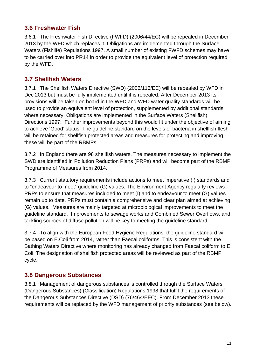#### <span id="page-14-0"></span>**3.6 Freshwater Fish**

3.6.1 The Freshwater Fish Directive (FWFD) (2006/44/EC) will be repealed in December 2013 by the WFD which replaces it. Obligations are implemented through the Surface Waters (Fishlife) Regulations 1997. A small number of existing FWFD schemes may have to be carried over into PR14 in order to provide the equivalent level of protection required by the WFD.

### **3.7 Shellfish Waters**

3.7.1 The Shellfish Waters Directive (SWD) (2006/113/EC) will be repealed by WFD in Dec 2013 but must be fully implemented until it is repealed. After December 2013 its provisions will be taken on board in the WFD and WFD water quality standards will be used to provide an equivalent level of protection, supplemented by additional standards where necessary. Obligations are implemented in the Surface Waters (Shellfish) Directions 1997. Further improvements beyond this would fit under the objective of aiming to achieve 'Good' status. The guideline standard on the levels of bacteria in shellfish flesh will be retained for shellfish protected areas and measures for protecting and improving these will be part of the RBMPs.

3.7.2 In England there are 98 shellfish waters. The measures necessary to implement the SWD are identified in Pollution Reduction Plans (PRPs) and will become part of the RBMP Programme of Measures from 2014.

3.7.3 Current statutory requirements include actions to meet imperative (I) standards and to "endeavour to meet" guideline (G) values. The Environment Agency regularly reviews PRPs to ensure that measures included to meet (I) and to endeavour to meet (G) values remain up to date. PRPs must contain a comprehensive and clear plan aimed at achieving (G) values. Measures are mainly targeted at microbiological improvements to meet the guideline standard. Improvements to sewage works and Combined Sewer Overflows, and tackling sources of diffuse pollution will be key to meeting the guideline standard.

3.7.4 To align with the European Food Hygiene Regulations, the guideline standard will be based on E.Coli from 2014, rather than Faecal coliforms. This is consistent with the Bathing Waters Directive where monitoring has already changed from Faecal coliform to E Coli. The designation of shellfish protected areas will be reviewed as part of the RBMP cycle.

#### **3.8 Dangerous Substances**

3.8.1 Management of dangerous substances is controlled through the Surface Waters (Dangerous Substances) (Classification) Regulations 1998 that fulfil the requirements of the Dangerous Substances Directive (DSD) (76/464/EEC). From December 2013 these requirements will be replaced by the WFD management of priority substances (see below).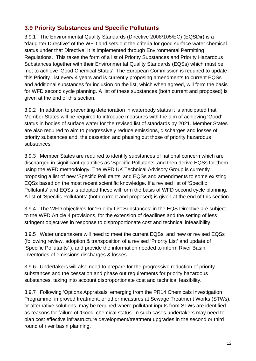## <span id="page-15-0"></span>**3.9 Priority Substances and Specific Pollutants**

3.9.1 The Environmental Quality Standards (Directive 2008/105/EC) (EQSDir) is a "daughter Directive" of the WFD and sets out the criteria for good surface water chemical status under that Directive. It is implemented through Environmental Permitting Regulations. This takes the form of a list of Priority Substances and Priority Hazardous Substances together with their Environmental Quality Standards (EQSs) which must be met to achieve 'Good Chemical Status'. The European Commission is required to update this Priority List every 4 years and is currently proposing amendments to current EQSs and additional substances for inclusion on the list, which when agreed, will form the basis for WFD second cycle planning. A list of these substances (both current and proposed) is given at the end of this section.

3.9.2 In addition to preventing deterioration in waterbody status it is anticipated that Member States will be required to introduce measures with the aim of achieving 'Good' status in bodies of surface water for the revised list of standards by 2021. Member States are also required to aim to progressively reduce emissions, discharges and losses of priority substances and, the cessation and phasing out those of priority hazardous substances.

3.9.3 Member States are required to identify substances of national concern which are discharged in significant quantities as 'Specific Pollutants' and then derive EQSs for them using the WFD methodology. The WFD UK Technical Advisory Group is currently proposing a list of new 'Specific Pollutants' and EQSs and amendments to some existing EQSs based on the most recent scientific knowledge. If a revised list of 'Specific Pollutants' and EQSs is adopted these will form the basis of WFD second cycle planning. A list of 'Specific Pollutants' (both current and proposed) is given at the end of this section.

3.9.4 The WFD objectives for 'Priority List Substances' in the EQS Directive are subject to the WFD Article 4 provisions, for the extension of deadlines and the setting of less stringent objectives in response to disproportionate cost and technical infeasibility.

3.9.5 Water undertakers will need to meet the current EQSs, and new or revised EQSs (following review, adoption & transposition of a revised 'Priority List' and update of 'Specific Pollutants' ), and provide the information needed to inform River Basin inventories of emissions discharges & losses.

3.9.6 Undertakers will also need to prepare for the progressive reduction of priority substances and the cessation and phase out requirements for priority hazardous substances, taking into account disproportionate cost and technical feasibility.

3.9.7 Following 'Options Appraisals' emerging from the PR14 Chemicals Investigation Programme, improved treatment, or other measures at Sewage Treatment Works (STWs), or alternative solutions. may be required where pollutant inputs from STWs are identified as reasons for failure of 'Good' chemical status. In such cases undertakers may need to plan cost effective infrastructure development/treatment upgrades in the second or third round of river basin planning.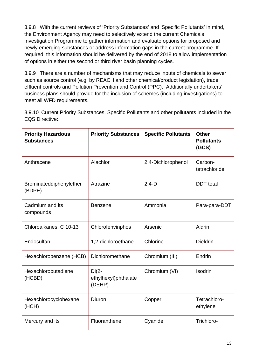3.9.8 With the current reviews of 'Priority Substances' and 'Specific Pollutants' in mind, the Environment Agency may need to selectively extend the current Chemicals Investigation Programme to gather information and evaluate options for proposed and newly emerging substances or address information gaps in the current programme. If required, this information should be delivered by the end of 2018 to allow implementation of options in either the second or third river basin planning cycles.

3.9.9 There are a number of mechanisms that may reduce inputs of chemicals to sewer such as source control (e.g. by REACH and other chemical/product legislation), trade effluent controls and Pollution Prevention and Control (PPC). Additionally undertakers' business plans should provide for the inclusion of schemes (including investigations) to meet all WFD requirements.

3.9.10 Current Priority Substances, Specific Pollutants and other pollutants included in the EQS Directive:.

| <b>Priority Hazardous</b><br><b>Substances</b> | <b>Priority Substances</b>                | <b>Specific Pollutants</b> | <b>Other</b><br><b>Pollutants</b><br>(GCS) |
|------------------------------------------------|-------------------------------------------|----------------------------|--------------------------------------------|
| Anthracene                                     | Alachlor                                  | 2,4-Dichlorophenol         | Carbon-<br>tetrachloride                   |
| Brominateddiphenylether<br>(BDPE)              | Atrazine                                  | $2,4-D$                    | <b>DDT</b> total                           |
| Cadmium and its<br>compounds                   | <b>Benzene</b>                            | Ammonia                    | Para-para-DDT                              |
| Chloroalkanes, C 10-13                         | Chlorofenvinphos                          | Arsenic                    | Aldrin                                     |
| Endosulfan                                     | 1,2-dichloroethane                        | Chlorine                   | <b>Dieldrin</b>                            |
| Hexachlorobenzene (HCB)                        | Dichloromethane                           | Chromium (III)             | Endrin                                     |
| Hexachlorobutadiene<br>(HCBD)                  | $Di(2-$<br>ethylhexyl)phthalate<br>(DEHP) | Chromium (VI)              | <b>Isodrin</b>                             |
| Hexachlorocyclohexane<br>(HCH)                 | Diuron                                    | Copper                     | Tetrachloro-<br>ethylene                   |
| Mercury and its                                | Fluoranthene                              | Cyanide                    | Trichloro-                                 |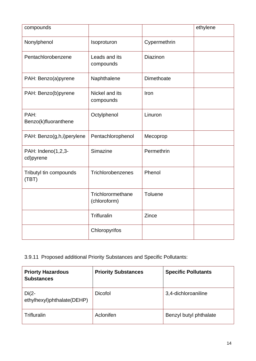| compounds                       |                                   |                 | ethylene |
|---------------------------------|-----------------------------------|-----------------|----------|
| Nonylphenol                     | Isoproturon                       | Cypermethrin    |          |
| Pentachlorobenzene              | Leads and its<br>compounds        | <b>Diazinon</b> |          |
| PAH: Benzo(a)pyrene             | Naphthalene                       | Dimethoate      |          |
| PAH: Benzo(b)pyrene             | Nickel and its<br>compounds       | Iron            |          |
| PAH:<br>Benzo(k)fluoranthene    | Octylphenol                       | Linuron         |          |
| PAH: Benzo(g,h,i)perylene       | Pentachlorophenol                 | Mecoprop        |          |
| PAH: Indeno(1,2,3-<br>cd)pyrene | Simazine                          | Permethrin      |          |
| Tributyl tin compounds<br>(TBT) | Trichlorobenzenes                 | Phenol          |          |
|                                 | Trichlorormethane<br>(chloroform) | Toluene         |          |
|                                 | Trifluralin                       | Zince           |          |
|                                 | Chloropyrifos                     |                 |          |

3.9.11 Proposed additional Priority Substances and Specific Pollutants:

| <b>Priorty Hazardous</b><br><b>Substances</b> | <b>Priority Substances</b> | <b>Specific Pollutants</b> |
|-----------------------------------------------|----------------------------|----------------------------|
| $Di(2 -$<br>ethylhexyl)phthalate(DEHP)        | <b>Dicofol</b>             | 3,4-dichloroaniline        |
| Trifluralin                                   | Aclonifen                  | Benzyl butyl phthalate     |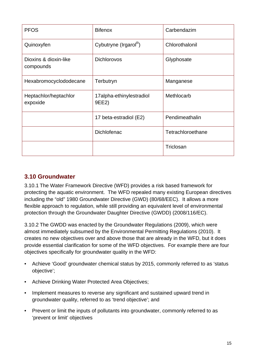<span id="page-18-0"></span>

| <b>PFOS</b>                        | <b>Bifenox</b>                    | Carbendazim       |
|------------------------------------|-----------------------------------|-------------------|
| Quinoxyfen                         | Cybutryne (Irgarol <sup>R</sup> ) | Chlorothalonil    |
| Dioxins & dioxin-like<br>compounds | <b>Dichlorovos</b>                | Glyphosate        |
| Hexabromocyclododecane             | Terbutryn                         | Manganese         |
| Heptachlor/heptachlor<br>expoxide  | 17alpha-ethinylestradiol<br>9EE2) | Methlocarb        |
|                                    | 17 beta-estradiol (E2)            | Pendimeathalin    |
|                                    | Dichlofenac                       | Tetrachloroethane |
|                                    |                                   | Triclosan         |

#### **3.10 Groundwater**

3.10.1 The Water Framework Directive (WFD) provides a risk based framework for protecting the aquatic environment. The WFD repealed many existing European directives including the "old" 1980 Groundwater Directive (GWD) (80/68/EEC). It allows a more flexible approach to regulation, while still providing an equivalent level of environmental protection through the Groundwater Daughter Directive (GWDD) (2008/116/EC).

3.10.2 The GWDD was enacted by the Groundwater Regulations (2009), which were almost immediately subsumed by the Environmental Permitting Regulations (2010). It creates no new objectives over and above those that are already in the WFD, but it does provide essential clarification for some of the WFD objectives. For example there are four objectives specifically for groundwater quality in the WFD:

- Achieve 'Good' groundwater chemical status by 2015, commonly referred to as 'status objective';
- Achieve Drinking Water Protected Area Objectives;
- Implement measures to reverse any significant and sustained upward trend in groundwater quality, referred to as 'trend objective'; and
- Prevent or limit the inputs of pollutants into groundwater, commonly referred to as 'prevent or limit' objectives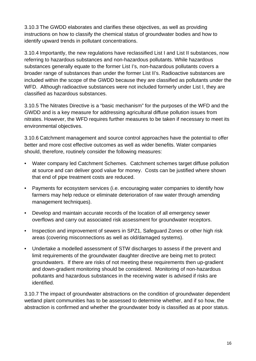3.10.3 The GWDD elaborates and clarifies these objectives, as well as providing instructions on how to classify the chemical status of groundwater bodies and how to identify upward trends in pollutant concentrations.

3.10.4 Importantly, the new regulations have reclassified List I and List II substances, now referring to hazardous substances and non-hazardous pollutants. While hazardous substances generally equate to the former List I's, non-hazardous pollutants covers a broader range of substances than under the former List II's. Radioactive substances are included within the scope of the GWDD because they are classified as pollutants under the WFD. Although radioactive substances were not included formerly under List I, they are classified as hazardous substances.

3.10.5 The Nitrates Directive is a "basic mechanism" for the purposes of the WFD and the GWDD and is a key measure for addressing agricultural diffuse pollution issues from nitrates. However, the WFD requires further measures to be taken if necessary to meet its environmental objectives.

3.10.6 Catchment management and source control approaches have the potential to offer better and more cost effective outcomes as well as wider benefits. Water companies should, therefore, routinely consider the following measures:

- Water company led Catchment Schemes. Catchment schemes target diffuse pollution at source and can deliver good value for money. Costs can be justified where shown that end of pipe treatment costs are reduced.
- Payments for ecosystem services (i.e. encouraging water companies to identify how farmers may help reduce or eliminate deterioration of raw water through amending management techniques).
- Develop and maintain accurate records of the location of all emergency sewer overflows and carry out associated risk assessment for groundwater receptors.
- Inspection and improvement of sewers in SPZ1, Safeguard Zones or other high risk areas (covering misconnections as well as old/damaged systems).
- Undertake a modelled assessment of STW discharges to assess if the prevent and limit requirements of the groundwater daughter directive are being met to protect groundwaters. If there are risks of not meeting these requirements then up-gradient and down-gradient monitoring should be considered. Monitoring of non-hazardous pollutants and hazardous substances in the receiving water is advised if risks are identified.

3.10.7 The impact of groundwater abstractions on the condition of groundwater dependent wetland plant communities has to be assessed to determine whether, and if so how, the abstraction is confirmed and whether the groundwater body is classified as at poor status.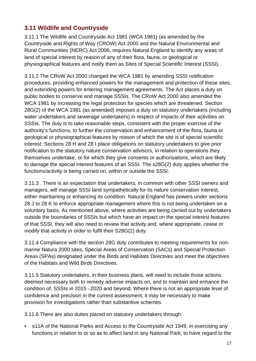## <span id="page-20-0"></span>**3.11 Wildlife and Countryside**

3.11.1 The Wildlife and Countryside Act 1981 (WCA 1981) (as amended by the Countryside and Rights of Way (CROW) Act 2000 and the Natural Environmental and Rural Communities (NERC) Act 2006, requires Natural England to identify any areas of land of special interest by reason of any of their flora, fauna, or geological or physiographical features and notify them as Sites of Special Scientific Interest (SSSI).

3.11.2 The CRoW Act 2000 changed the WCA 1981 by amending SSSI notification procedures, providing enhanced powers for the management and protection of these sites, and extending powers for entering management agreements. The Act places a duty on public bodies to conserve and manage SSSIs. The CRoW Act 2000 also amended the WCA 1981 by increasing the legal protection for species which are threatened. Section 28G(2) of the WCA 1981 (as amended) imposes a duty on statutory undertakers (including water undertakers and sewerage undertakers) in respect of impacts of their activities on SSSIs. The duty is to take reasonable steps, consistent with the proper exercise of the authority's functions, to further the conservation and enhancement of the flora, fauna or geological or physiographical features by reason of which the site is of special scientific interest. Sections 28 H and 28 I place obligations on statutory undertakers to give prior notification to the statutory nature conservation advisors, in relation to operations they themselves undertake, or for which they give consents or authorisations, which are likely to damage the special interest features of an SSSI. The s28G(2) duty applies whether the functions/activity is being carried on, within or outside the SSSI.

3.11.3 . There is an expectation that undertakers, in common with other SSSI owners and managers, will manage SSSI land sympathetically for its nature conservation interest, either maintaining or enhancing its condition. Natural England has powers under sections 28 J to 28 K to enforce appropriate management where this is not being undertaken on a voluntary basis. As mentioned above, where activities are being carried out by undertakers outside the boundaries of SSSIs but which have an impact on the special interest features of that SSSI, they will also need to review that activity and, where appropriate, cease or modify that activity in order to fulfil their S28G(2) duty.

3.11.4 Compliance with the section 28G duty contributes to meeting requirements for nonmarine Natura 2000 sites, Special Areas of Conservation (SACs) and Special Protection Areas (SPAs) designated under the Birds and Habitats Directives and meet the objectives of the Habitats and Wild Birds Directives.

3.11.5 Statutory undertakers, in their business plans, will need to include those actions deemed necessary both to remedy adverse impacts on, and to maintain and enhance the condition of, SSSIs in 2015 –2020 and beyond. Where there is not an appropriate level of confidence and precision in the current assessment, it may be necessary to make provision for investigations rather than substantive schemes.

3.11.6 There are also duties placed on statutory undertakers through:

• s11A of the National Parks and Access to the Countryside Act 1949, in exercising any functions in relation to or so as to affect land in any National Park, to have regard to the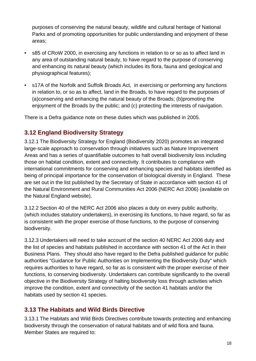<span id="page-21-0"></span>purposes of conserving the natural beauty, wildlife and cultural heritage of National Parks and of promoting opportunities for public understanding and enjoyment of these areas;

- s85 of CRoW 2000, in exercising any functions in relation to or so as to affect land in any area of outstanding natural beauty, to have regard to the purpose of conserving and enhancing its natural beauty (which includes its flora, fauna and geological and physiographical features);
- s17A of the Norfolk and Suffolk Broads Act, in exercising or performing any functions in relation to, or so as to affect, land in the Broads, to have regard to the purposes of (a)conserving and enhancing the natural beauty of the Broads; (b)promoting the enjoyment of the Broads by the public; and (c) protecting the interests of navigation.

There is a Defra guidance note on these duties which was published in 2005.

## **3.12 England Biodiversity Strategy**

3.12.1 The Biodiversity Strategy for England (Biodiversity 2020) promotes an integrated large-scale approach to conservation through initiatives such as Nature Improvement Areas and has a series of quantifiable outcomes to halt overall biodiversity loss including those on habitat condition, extent and connectivity. It contributes to compliance with international commitments for conserving and enhancing species and habitats identified as being of principal importance for the conservation of biological diversity in England. These are set out in the list published by the Secretary of State in accordance with section 41 of the Natural Environment and Rural Communities Act 2006 (NERC Act 2006) (available on the Natural England website).

3.12.2 Section 40 of the NERC Act 2006 also places a duty on every public authority, (which includes statutory undertakers), in exercising its functions, to have regard, so far as is consistent with the proper exercise of those functions, to the purpose of conserving biodiversity.

3.12.3 Undertakers will need to take account of the section 40 NERC Act 2006 duty and the list of species and habitats published in accordance with section 41 of the Act in their Business Plans. They should also have regard to the Defra published guidance for public authorities "Guidance for Public Authorities on Implementing the Biodiversity Duty" which requires authorities to have regard, so far as is consistent with the proper exercise of their functions, to conserving biodiversity. Undertakers can contribute significantly to the overall objective in the Biodiversity Strategy of halting biodiversity loss through activities which improve the condition, extent and connectivity of the section 41 habitats and/or the habitats used by section 41 species.

#### **3.13 The Habitats and Wild Birds Directive**

3.13.1 The Habitats and Wild Birds Directives contribute towards protecting and enhancing biodiversity through the conservation of natural habitats and of wild flora and fauna. Member States are required to: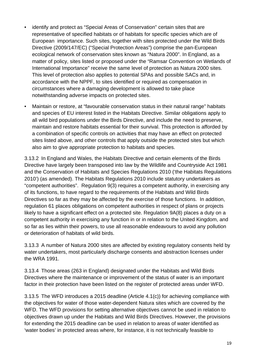- identify and protect as "Special Areas of Conservation" certain sites that are representative of specified habitats or of habitats for specific species which are of European importance. Such sites, together with sites protected under the Wild Birds Directive (2009/147/EC) ("Special Protection Areas") comprise the pan-European ecological network of conservation sites known as "Natura 2000". In England, as a matter of policy, sites listed or proposed under the "Ramsar Convention on Wetlands of International Importance" receive the same level of protection as Natura 2000 sites. This level of protection also applies to potential SPAs and possible SACs and, in accordance with the NPPF, to sites identified or required as compensation in circumstances where a damaging development is allowed to take place notwithstanding adverse impacts on protected sites.
- Maintain or restore, at "favourable conservation status in their natural range" habitats and species of EU interest listed in the Habitats Directive. Similar obligations apply to all wild bird populations under the Birds Directive, and include the need to preserve, maintain and restore habitats essential for their survival. This protection is afforded by a combination of specific controls on activities that may have an effect on protected sites listed above, and other controls that apply outside the protected sites but which also aim to give appropriate protection to habitats and species.

3.13.2 In England and Wales, the Habitats Directive and certain elements of the Birds Directive have largely been transposed into law by the Wildlife and Countryside Act 1981 and the Conservation of Habitats and Species Regulations 2010 ('the Habitats Regulations 2010') (as amended). The Habitats Regulations 2010 include statutory undertakers as "competent authorities". Regulation 9(3) requires a competent authority, in exercising any of its functions, to have regard to the requirements of the Habitats and Wild Birds Directives so far as they may be affected by the exercise of those functions. In addition, regulation 61 places obligations on competent authorities in respect of plans or projects likely to have a significant effect on a protected site. Regulation 9A(8) places a duty on a competent authority in exercising any function in or in relation to the United Kingdom, and so far as lies within their powers, to use all reasonable endeavours to avoid any pollution or deterioration of habitats of wild birds.

3.13.3 A number of Natura 2000 sites are affected by existing regulatory consents held by water undertakers, most particularly discharge consents and abstraction licenses under the WRA 1991.

3.13.4 Those areas (263 in England) designated under the Habitats and Wild Birds Directives where the maintenance or improvement of the status of water is an important factor in their protection have been listed on the register of protected areas under WFD.

3.13.5 The WFD introduces a 2015 deadline (Article 4.1(c)) for achieving compliance with the objectives for water of those water-dependent Natura sites which are covered by the WFD. The WFD provisions for setting alternative objectives cannot be used in relation to objectives drawn up under the Habitats and Wild Birds Directives. However, the provisions for extending the 2015 deadline can be used in relation to areas of water identified as 'water bodies' in protected areas where, for instance, it is not technically feasible to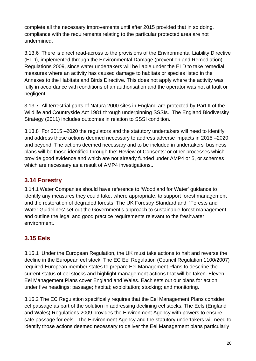<span id="page-23-0"></span>complete all the necessary improvements until after 2015 provided that in so doing, compliance with the requirements relating to the particular protected area are not undermined.

3.13.6 There is direct read-across to the provisions of the Environmental Liability Directive (ELD), implemented through the Environmental Damage (prevention and Remediation) Regulations 2009, since water undertakers will be liable under the ELD to take remedial measures where an activity has caused damage to habitats or species listed in the Annexes to the Habitats and Birds Directive. This does not apply where the activity was fully in accordance with conditions of an authorisation and the operator was not at fault or negligent.

3.13.7 All terrestrial parts of Natura 2000 sites in England are protected by Part II of the Wildlife and Countryside Act 1981 through underpinning SSSIs. The England Biodiversity Strategy (2011) includes outcomes in relation to SSSI condition.

3.13.8 For 2015 –2020 the regulators and the statutory undertakers will need to identify and address those actions deemed necessary to address adverse impacts in 2015 –2020 and beyond. The actions deemed necessary and to be included in undertakers' business plans will be those identified through the' Review of Consents' or other processes which provide good evidence and which are not already funded under AMP4 or 5, or schemes which are necessary as a result of AMP4 investigations.*.*

# **3.14 Forestry**

3.14.1 Water Companies should have reference to 'Woodland for Water' guidance to identify any measures they could take, where appropriate, to support forest management and the restoration of degraded forests. The UK Forestry Standard and 'Forests and Water Guidelines' set out the Government's approach to sustainable forest management and outline the legal and good practice requirements relevant to the freshwater environment.

# **3.15 Eels**

3.15.1 Under the European Regulation, the UK must take actions to halt and reverse the decline in the European eel stock. The EC Eel Regulation ([Council Regulation](http://eur-lex.europa.eu/LexUriServ/LexUriServ.do?uri=OJ:L:2007:248:0017:0023:EN:PDF) 1100/2007) required European member states to prepare Eel Management Plans to describe the current status of eel stocks and highlight management actions that will be taken. Eleven [Eel Management Plans](http://archive.defra.gov.uk/foodfarm/fisheries/freshwater/eelmp.htm) cover England and Wales. Each sets out our plans for action under five headings: passage; habitat; exploitation; stocking; and monitoring.

3.15.2 The EC Regulation specifically requires that the Eel Management Plans consider eel passage as part of the solution in addressing declining eel stocks. The Eels (England and Wales) Regulations 2009 provides the Environment Agency with powers to ensure safe passage for eels. The Environment Agency and the statutory undertakers will need to identify those actions deemed necessary to deliver the Eel Management plans particularly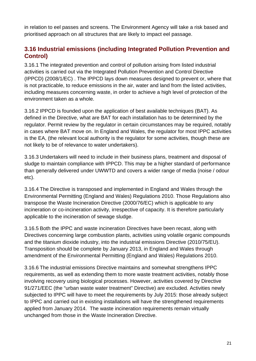<span id="page-24-0"></span>in relation to eel passes and screens. The Environment Agency will take a risk based and prioritised approach on all structures that are likely to impact eel passage.

### **3.16 Industrial emissions (including Integrated Pollution Prevention and Control)**

3.16.1 The integrated prevention and control of pollution arising from listed industrial activities is carried out via the Integrated Pollution Prevention and Control Directive (IPPCD) (2008/1/EC) . The IPPCD lays down measures designed to prevent or, where that is not practicable, to reduce emissions in the air, water and land from the listed activities, including measures concerning waste, in order to achieve a high level of protection of the environment taken as a whole.

3.16.2 IPPCD is founded upon the application of best available techniques (BAT). As defined in the Directive, what are BAT for each installation has to be determined by the regulator. Permit review by the regulator in certain circumstances may be required, notably in cases where BAT move on. In England and Wales, the regulator for most IPPC activities is the EA, (the relevant local authority is the regulator for some activities, though these are not likely to be of relevance to water undertakers).

3.16.3 Undertakers will need to include in their business plans, treatment and disposal of sludge to maintain compliance with IPPCD. This may be a higher standard of performance than generally delivered under UWWTD and covers a wider range of media (noise / odour etc).

3.16.4 The Directive is transposed and implemented in England and Wales through the Environmental Permitting (England and Wales) Regulations 2010. Those Regulations also transpose the Waste Incineration Directive (2000/76/EC) which is applicable to any incineration or co-incineration activity, irrespective of capacity. It is therefore particularly applicable to the incineration of sewage sludge.

3.16.5 Both the IPPC and waste incineration Directives have been recast, along with Directives concerning large combustion plants, activities using volatile organic compounds and the titanium dioxide industry, into the industrial emissions Directive (2010/75/EU). Transposition should be complete by January 2013, in England and Wales through amendment of the Environmental Permitting (England and Wales) Regulations 2010.

3.16.6 The industrial emissions Directive maintains and somewhat strengthens IPPC requirements, as well as extending them to more waste treatment activities, notably those involving recovery using biological processes. However, activities covered by Directive 91/271/EEC (the "urban waste water treatment" Directive) are excluded. Activities newly subjected to IPPC will have to meet the requirements by July 2015: those already subject to IPPC and carried out in existing installations will have the strengthened requirements applied from January 2014. The waste incineration requirements remain virtually unchanged from those in the Waste Incineration Directive.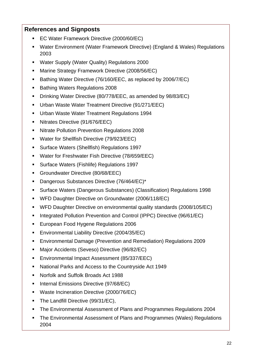#### **References and Signposts**

- EC Water Framework Directive (2000/60/EC)
- Water Environment (Water Framework Directive) (England & Wales) Regulations 2003
- Water Supply (Water Quality) Regulations 2000
- Marine Strategy Framework Directive (2008/56/EC)
- Bathing Water Directive (76/160/EEC, as replaced by 2006/7/EC)
- Bathing Waters Regulations 2008
- **Drinking Water Directive (80/778/EEC, as amended by 98/83/EC)**
- Urban Waste Water Treatment Directive (91/271/EEC)
- Urban Waste Water Treatment Regulations 1994
- Nitrates Directive (91/676/EEC)
- Nitrate Pollution Prevention Regulations 2008
- Water for Shellfish Directive (79/923/EEC)
- Surface Waters (Shellfish) Regulations 1997
- Water for Freshwater Fish Directive (78/659/EEC)
- Surface Waters (Fishlife) Regulations 1997
- Groundwater Directive (80/68/EEC)
- Dangerous Substances Directive (76/464/EC)\*
- Surface Waters (Dangerous Substances) (Classification) Regulations 1998
- WFD Daughter Directive on Groundwater (2006/118/EC)
- WFD Daughter Directive on environmental quality standards (2008/105/EC)
- Integrated Pollution Prevention and Control (IPPC) Directive (96/61/EC)
- **European Food Hygene Regulations 2006**
- **Environmental Liability Directive (2004/35/EC)**
- Environmental Damage (Prevention and Remediation) Regulations 2009
- **Major Accidents (Seveso) Directive (96/82/EC)**
- Environmental Impact Assessment (85/337/EEC)
- National Parks and Access to the Countryside Act 1949
- Norfolk and Suffolk Broads Act 1988
- **Internal Emissions Directive (97/68/EC)**
- Waste Incineration Directive (2000/76/EC)
- The Landfill Directive (99/31/EC).
- The Environmental Assessment of Plans and Programmes Regulations 2004
- The Environmental Assessment of Plans and Programmes (Wales) Regulations 2004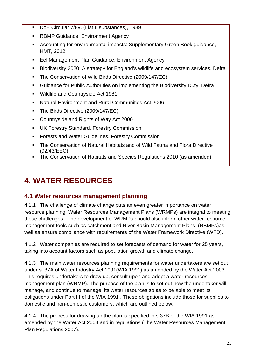- <span id="page-26-0"></span>DoE Circular 7/89. (List II substances), 1989
- RBMP Guidance, Environment Agency
- Accounting for environmental impacts: Supplementary Green Book guidance, HMT, 2012
- **Eel Management Plan Guidance, Environment Agency**
- Biodiversity 2020: A strategy for England's wildlife and ecosystem services, Defra
- **The Conservation of Wild Birds Directive (2009/147/EC)**
- Guidance for Public Authorities on implementing the Biodiversity Duty, Defra
- Wildlife and Countryside Act 1981
- Natural Environment and Rural Communities Act 2006
- The Birds Directive (2009/147/EC)
- Countryside and Rights of Way Act 2000
- UK Forestry Standard, Forestry Commission
- **Forests and Water Guidelines, Forestry Commission**
- The Conservation of Natural Habitats and of Wild Fauna and Flora Directive (92/43/EEC)
- The Conservation of Habitats and Species Regulations 2010 (as amended)

# **4. WATER RESOURCES**

#### **4.1 Water resources management planning**

4.1.1 The challenge of climate change puts an even greater importance on water resource planning. Water Resources Management Plans (WRMPs) are integral to meeting these challenges. The development of WRMPs should also inform other water resource management tools such as catchment and River Basin Management Plans (RBMPs)as well as ensure compliance with requirements of the Water Framework Directive (WFD).

4.1.2 Water companies are required to set forecasts of demand for water for 25 years, taking into account factors such as population growth and climate change.

4.1.3 The main water resources planning requirements for water undertakers are set out under s. 37A of Water Industry Act 1991(WIA 1991) as amended by the Water Act 2003. This requires undertakers to draw up, consult upon and adopt a water resources management plan (WRMP). The purpose of the plan is to set out how the undertaker will manage, and continue to manage, its water resources so as to be able to meet its obligations under Part III of the WIA 1991 . These obligations include those for supplies to domestic and non-domestic customers, which are outlined below.

4.1.4 The process for drawing up the plan is specified in s.37B of the WIA 1991 as amended by the Water Act 2003 and in regulations (The Water Resources Management Plan Regulations 2007).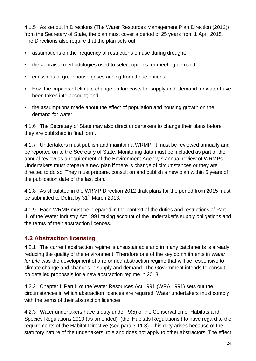<span id="page-27-0"></span>4.1.5 As set out in Directions (The Water Resources Management Plan Direction (2012)) from the Secretary of State, the plan must cover a period of 25 years from 1 April 2015. The Directions also require that the plan sets out:

- assumptions on the frequency of restrictions on use during drought;
- the appraisal methodologies used to select options for meeting demand;
- emissions of greenhouse gases arising from those options;
- How the impacts of climate change on forecasts for supply and demand for water have been taken into account; and
- the assumptions made about the effect of population and housing growth on the demand for water.

4.1.6 The Secretary of State may also direct undertakers to change their plans before they are published in final form.

4.1.7 Undertakers must publish and maintain a WRMP. It must be reviewed annually and be reported on to the Secretary of State. Monitoring data must be included as part of the annual review as a requirement of the Environment Agency's annual review of WRMPs. Undertakers must prepare a new plan if there is change of circumstances or they are directed to do so. They must prepare, consult on and publish a new plan within 5 years of the publication date of the last plan.

4.1.8 As stipulated in the WRMP Direction 2012 draft plans for the period from 2015 must be submitted to Defra by 31<sup>st</sup> March 2013.

4.1.9 Each WRMP must be prepared in the context of the duties and restrictions of Part III of the Water Industry Act 1991 taking account of the undertaker's supply obligations and the terms of their abstraction licences.

# **4.2 Abstraction licensing**

4.2.1 The current abstraction regime is unsustainable and in many catchments is already reducing the quality of the environment. Therefore one of the key commitments in *Water for Life* was the development of a reformed abstraction regime that will be responsive to climate change and changes in supply and demand. The Government intends to consult on detailed proposals for a new abstraction regime in 2013.

4.2.2 Chapter II Part II of the Water Resources Act 1991 (WRA 1991) sets out the circumstances in which abstraction licences are required. Water undertakers must comply with the terms of their abstraction licences.

4.2.3 Water undertakers have a duty under 9(5) of the Conservation of Habitats and Species Regulations 2010 (as amended) (the 'Habitats Regulations') to have regard to the requirements of the Habitat Directive (see para 3.11.3). This duty arises because of the statutory nature of the undertakers' role and does not apply to other abstractors. The effect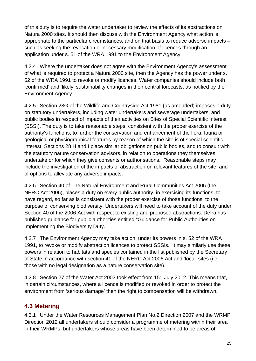<span id="page-28-0"></span>of this duty is to require the water undertaker to review the effects of its abstractions on Natura 2000 sites. It should then discuss with the Environment Agency what action is appropriate to the particular circumstances, and on that basis to reduce adverse impacts – such as seeking the revocation or necessary modification of licences through an application under s. 51 of the WRA 1991 to the Environment Agency.

4.2.4 Where the undertaker does not agree with the Environment Agency's assessment of what is required to protect a Natura 2000 site, then the Agency has the power under s. 52 of the WRA 1991 to revoke or modify licences. Water companies should include both 'confirmed' and 'likely' sustainability changes in their central forecasts, as notified by the Environment Agency.

4.2.5 Section 28G of the Wildlife and Countryside Act 1981 (as amended) imposes a duty on statutory undertakers, including water undertakers and sewerage undertakers, and public bodies in respect of impacts of their activities on Sites of Special Scientific Interest (SSSI). The duty is to take reasonable steps, consistent with the proper exercise of the authority's functions, to further the conservation and enhancement of the flora, fauna or geological or physiographical features by reason of which the site is of special scientific interest. Sections 28 H and I place similar obligations on public bodies, and to consult with the statutory nature conservation advisors, in relation to operations they themselves undertake or for which they give consents or authorisations. Reasonable steps may include the investigation of the impacts of abstraction on relevant features of the site, and of options to alleviate any adverse impacts.

4.2.6 Section 40 of The Natural Environment and Rural Communities Act 2006 (the NERC Act 2006), places a duty on every public authority, in exercising its functions, to have regard, so far as is consistent with the proper exercise of those functions, to the purpose of conserving biodiversity. Undertakers will need to take account of the duty under Section 40 of the 2006 Act with respect to existing and proposed abstractions. Defra has published guidance for public authorities entitled "Guidance for Public Authorities on Implementing the Biodiversity Duty.

4.2.7 The Environment Agency may take action, under its powers in s. 52 of the WRA 1991, to revoke or modify abstraction licences to protect SSSIs. It may similarly use these powers in relation to habitats and species contained in the list published by the Secretary of State in accordance with section 41 of the NERC Act 2006 Act and 'local' sites (i.e. those with no legal designation as a nature conservation site).

4.2.8 Section 27 of the Water Act 2003 took effect from 15<sup>th</sup> July 2012. This means that, in certain circumstances, where a licence is modified or revoked in order to protect the environment from 'serious damage' then the right to compensation will be withdrawn.

# **4.3 Metering**

4.3.1 Under the Water Resources Management Plan No.2 Direction 2007 and the WRMP Direction 2012 all undertakers should consider a programme of metering within their area in their WRMPs, but undertakers whose areas have been determined to be areas of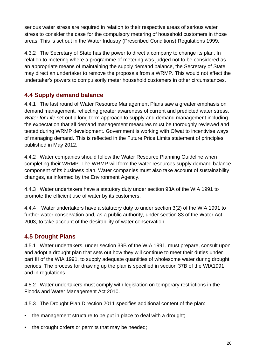<span id="page-29-0"></span>serious water stress are required in relation to their respective areas of serious water stress to consider the case for the compulsory metering of household customers in those areas. This is set out in the Water Industry (Prescribed Conditions) Regulations 1999.

4.3.2 The Secretary of State has the power to direct a company to change its plan. In relation to metering where a programme of metering was judged not to be considered as an appropriate means of maintaining the supply demand balance, the Secretary of State may direct an undertaker to remove the proposals from a WRMP. This would not affect the undertaker's powers to compulsorily meter household customers in other circumstances.

# **4.4 Supply demand balance**

4.4.1 The last round of Water Resource Management Plans saw a greater emphasis on demand management, reflecting greater awareness of current and predicted water stress. *Water for Life* set out a long term approach to supply and demand management including the expectation that all demand management measures must be thoroughly reviewed and tested during WRMP development. Government is working with Ofwat to incentivise ways of managing demand. This is reflected in the Future Price Limits statement of principles published in May 2012.

4.4.2 Water companies should follow the Water Resource Planning Guideline when completing their WRMP. The WRMP will form the water resources supply demand balance component of its business plan. Water companies must also take account of sustainability changes, as informed by the Environment Agency.

4.4.3 Water undertakers have a statutory duty under section 93A of the WIA 1991 to promote the efficient use of water by its customers.

4.4.4 Water undertakers have a statutory duty to under section 3(2) of the WIA 1991 to further water conservation and, as a public authority, under section 83 of the Water Act 2003, to take account of the desirability of water conservation.

#### **4.5 Drought Plans**

4.5.1 Water undertakers, under section 39B of the WIA 1991, must prepare, consult upon and adopt a drought plan that sets out how they will continue to meet their duties under part III of the WIA 1991, to supply adequate quantities of wholesome water during drought periods. The process for drawing up the plan is specified in section 37B of the WIA1991 and in regulations.

4.5.2 Water undertakers must comply with legislation on temporary restrictions in the Floods and Water Management Act 2010.

4.5.3 The Drought Plan Direction 2011 specifies additional content of the plan:

- the management structure to be put in place to deal with a drought;
- the drought orders or permits that may be needed;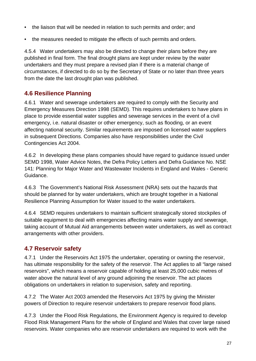- <span id="page-30-0"></span>• the liaison that will be needed in relation to such permits and order; and
- the measures needed to mitigate the effects of such permits and orders.

4.5.4 Water undertakers may also be directed to change their plans before they are published in final form. The final drought plans are kept under review by the water undertakers and they must prepare a revised plan if there is a material change of circumstances, if directed to do so by the Secretary of State or no later than three years from the date the last drought plan was published.

#### **4.6 Resilience Planning**

4.6.1 Water and sewerage undertakers are required to comply with the Security and Emergency Measures Direction 1998 (SEMD). This requires undertakers to have plans in place to provide essential water supplies and sewerage services in the event of a civil emergency, i.e. natural disaster or other emergency, such as flooding, or an event affecting national security. Similar requirements are imposed on licensed water suppliers in subsequent Directions. Companies also have responsibilities under the Civil Contingencies Act 2004.

4.6.2 In developing these plans companies should have regard to guidance issued under SEMD 1998, Water Advice Notes, the Defra Policy Letters and Defra Guidance No. NSE 141: Planning for Major Water and Wastewater Incidents in England and Wales - Generic Guidance.

4.6.3 The Government's National Risk Assessment (NRA) sets out the hazards that should be planned for by water undertakers, which are brought together in a National Resilience Planning Assumption for Water issued to the water undertakers.

4.6.4 SEMD requires undertakers to maintain sufficient strategically stored stockpiles of suitable equipment to deal with emergencies affecting mains water supply and sewerage, taking account of Mutual Aid arrangements between water undertakers, as well as contract arrangements with other providers.

#### **4.7 Reservoir safety**

4.7.1 Under the Reservoirs Act 1975 the undertaker, operating or owning the reservoir, has ultimate responsibility for the safety of the reservoir. The Act applies to all "large raised reservoirs", which means a reservoir capable of holding at least 25,000 cubic metres of water above the natural level of any ground adjoining the reservoir. The act places obligations on undertakers in relation to supervision, safety and reporting.

4.7.2 The Water Act 2003 amended the Reservoirs Act 1975 by giving the Minister powers of Direction to require reservoir undertakers to prepare reservoir flood plans.

4.7.3 Under the Flood Risk Regulations, the Environment Agency is required to develop Flood Risk Management Plans for the whole of England and Wales that cover large raised reservoirs. Water companies who are reservoir undertakers are required to work with the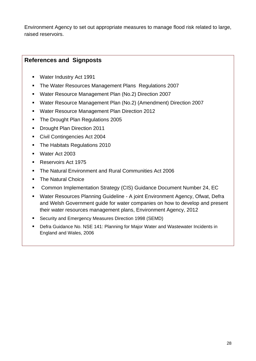Environment Agency to set out appropriate measures to manage flood risk related to large, raised reservoirs.

#### **References and Signposts**

- Water Industry Act 1991
- The Water Resources Management Plans Regulations 2007
- Water Resource Management Plan (No.2) Direction 2007
- Water Resource Management Plan (No.2) (Amendment) Direction 2007
- Water Resource Management Plan Direction 2012
- The Drought Plan Regulations 2005
- **Drought Plan Direction 2011**
- Civil Contingencies Act 2004
- The Habitats Regulations 2010
- Water Act 2003
- Reservoirs Act 1975
- The Natural Environment and Rural Communities Act 2006
- The Natural Choice
- Common Implementation Strategy (CIS) Guidance Document Number 24, EC
- Water Resources Planning Guideline A joint Environment Agency, Ofwat, Defra and Welsh Government guide for water companies on how to develop and present their water resources management plans, Environment Agency, 2012
- Security and Emergency Measures Direction 1998 (SEMD)
- Defra Guidance No. NSE 141: Planning for Major Water and Wastewater Incidents in England and Wales, 2006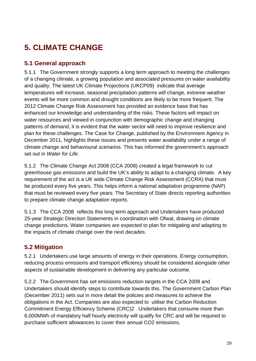# <span id="page-32-0"></span>**5. CLIMATE CHANGE**

#### **5.1 General approach**

5.1.1 The Government strongly supports a long term approach to meeting the challenges of a changing climate, a growing population and associated pressures on water availability and quality. The latest UK Climate Projections (UKCP09) indicate that average temperatures will increase, seasonal precipitation patterns will change, extreme weather events will be more common and drought conditions are likely to be more frequent. The 2012 Climate Change Risk Assessment has provided an evidence base that has enhanced our knowledge and understanding of the risks. These factors will impact on water resources and viewed in conjunction with demographic change and changing patterns of demand, it is evident that the water sector will need to improve resilience and plan for these challenges. The Case for Change, published by the Environment Agency in December 2011, highlights these issues and presents water availability under a range of climate change and behavioural scenarios. This has informed the government's approach set out in *Water for Life.* 

5.1.2 The Climate Change Act 2008 (CCA 2008) created a legal framework to cut greenhouse gas emissions and build the UK's ability to adapt to a changing climate. A key requirement of the act is a UK wide Climate Change Risk Assessment (CCRA) that must be produced every five years. This helps inform a national adaptation programme (NAP) that must be reviewed every five years. The Secretary of State directs reporting authorities to prepare climate change adaptation reports.

5.1.3 The CCA 2008 reflects this long term approach and Undertakers have produced 25-year Strategic Direction Statements in coordination with Ofwat, drawing on climate change predictions. Water companies are expected to plan for mitigating and adapting to the impacts of climate change over the next decades.

#### **5.2 Mitigation**

5.2.1 Undertakers use large amounts of energy in their operations. Energy consumption, reducing process emissions and transport efficiency should be considered alongside other aspects of sustainable development in delivering any particular outcome.

5.2.2 The Government has set emissions reduction targets in the CCA 2008 and Undertakers should identify steps to contribute towards this. The Government Carbon Plan (December 2011) sets out in more detail the policies and measures to achieve the obligations in the Act. Companies are also expected to utilise the Carbon Reduction Commitment Energy Efficiency Scheme (CRC)2 . Undertakers that consume more than 6,000MWh of mandatory half hourly electricity will qualify for CRC and will be required to purchase sufficient allowances to cover their annual CO2 emissions.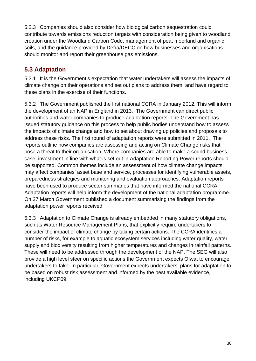<span id="page-33-0"></span>5.2.3 Companies should also consider how biological carbon sequestration could contribute towards emissions reduction targets with consideration being given to woodland creation under the Woodland Carbon Code, management of peat moorland and organic soils, and the guidance provided by Defra/DECC on how businesses and organisations should monitor and report their greenhouse gas emissions.

# **5.3 Adaptation**

5.3.1 It is the Government's expectation that water undertakers will assess the impacts of climate change on their operations and set out plans to address them, and have regard to these plans in the exercise of their functions.

5.3.2 The Government published the first national CCRA in January 2012. This will inform the development of an NAP in England in 2013. The Government can direct public authorities and water companies to produce adaptation reports. The Government has issued statutory guidance on this process to help public bodies understand how to assess the impacts of climate change and how to set about drawing up policies and proposals to address these risks. The first round of adaptation reports were submitted in 2011. The reports outline how companies are assessing and acting on Climate Change risks that pose a threat to their organisation. Where companies are able to make a sound business case, investment in line with what is set out in Adaptation Reporting Power reports should be supported. Common themes include an assessment of how climate change impacts may affect companies' asset base and service, processes for identifying vulnerable assets, preparedness strategies and monitoring and evaluation approaches. Adaptation reports have been used to produce sector summaries that have informed the national CCRA. Adaptation reports will help inform the development of the national adaptation programme. On 27 March Government published a document summarising the findings from the adaptation power reports received.

5.3.3 Adaptation to Climate Change is already embedded in many statutory obligations, such as Water Resource Management Plans, that explicitly require undertakers to consider the impact of climate change by taking certain actions. The CCRA identifies a number of risks, for example to aquatic ecosystem services including water quality, water supply and biodiversity resulting from higher temperatures and changes in rainfall patterns. These will need to be addressed through the development of the NAP. The SEG will also provide a high level steer on specific actions the Government expects Ofwat to encourage undertakers to take. In particular, Government expects undertakers' plans for adaptation to be based on robust risk assessment and informed by the best available evidence, including UKCP09.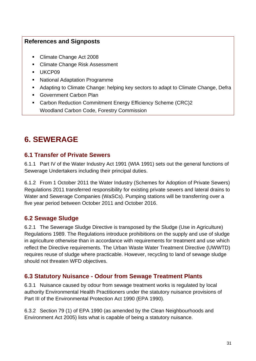#### <span id="page-34-0"></span>**References and Signposts**

- Climate Change Act 2008
- Climate Change Risk Assessment
- **UKCP09**
- National Adaptation Programme
- Adapting to Climate Change: helping key sectors to adapt to Climate Change, Defra
- Government Carbon Plan
- Carbon Reduction Commitment Energy Efficiency Scheme (CRC)2 Woodland Carbon Code, Forestry Commission

# **6. SEWERAGE**

#### **6.1 Transfer of Private Sewers**

6.1.1 Part IV of the Water Industry Act 1991 (WIA 1991) sets out the general functions of Sewerage Undertakers including their principal duties.

6.1.2 From 1 October 2011 the Water Industry (Schemes for Adoption of Private Sewers) Regulations 2011 transferred responsibility for existing private sewers and lateral drains to Water and Sewerage Companies (WaSCs). Pumping stations will be transferring over a five year period between October 2011 and October 2016.

# **6.2 Sewage Sludge**

6.2.1 The Sewerage Sludge Directive is transposed by the Sludge (Use in Agriculture) Regulations 1989. The Regulations introduce prohibitions on the supply and use of sludge in agriculture otherwise than in accordance with requirements for treatment and use which reflect the Directive requirements. The Urban Waste Water Treatment Directive (UWWTD) requires reuse of sludge where practicable. However, recycling to land of sewage sludge should not threaten WFD objectives.

# **6.3 Statutory Nuisance - Odour from Sewage Treatment Plants**

6.3.1 Nuisance caused by odour from sewage treatment works is regulated by local authority Environmental Health Practitioners under the statutory nuisance provisions of Part III of the Environmental Protection Act 1990 (EPA 1990).

6.3.2 Section 79 (1) of EPA 1990 (as amended by the Clean Neighbourhoods and Environment Act 2005) lists what is capable of being a statutory nuisance.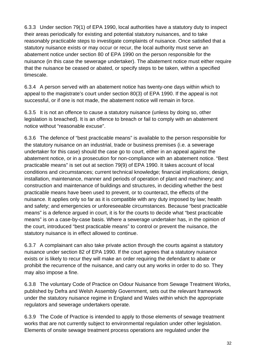6.3.3 Under section 79(1) of EPA 1990, local authorities have a statutory duty to inspect their areas periodically for existing and potential statutory nuisances, and to take reasonably practicable steps to investigate complaints of nuisance. Once satisfied that a statutory nuisance exists or may occur or recur, the local authority must serve an abatement notice under section 80 of EPA 1990 on the person responsible for the nuisance (in this case the sewerage undertaker). The abatement notice must either require that the nuisance be ceased or abated, or specify steps to be taken, within a specified timescale.

6.3.4 A person served with an abatement notice has twenty-one days within which to appeal to the magistrate's court under section 80(3) of EPA 1990. If the appeal is not successful, or if one is not made, the abatement notice will remain in force.

6.3.5 It is not an offence to cause a statutory nuisance (unless by doing so, other legislation is breached). It is an offence to breach or fail to comply with an abatement notice without "reasonable excuse".

6.3.6 The defence of "best practicable means" is available to the person responsible for the statutory nuisance on an industrial, trade or business premises (i.e. a sewerage undertaker for this case) should the case go to court, either in an appeal against the abatement notice, or in a prosecution for non-compliance with an abatement notice. "Best practicable means" is set out at section 79(9) of EPA 1990. It takes account of local conditions and circumstances; current technical knowledge; financial implications; design, installation, maintenance, manner and periods of operation of plant and machinery; and construction and maintenance of buildings and structures, in deciding whether the best practicable means have been used to prevent, or to counteract, the effects of the nuisance. It applies only so far as it is compatible with any duty imposed by law; health and safety; and emergencies or unforeseeable circumstances. Because "best practicable means" is a defence argued in court, it is for the courts to decide what "best practicable means" is on a case-by-case basis. Where a sewerage undertaker has, in the opinion of the court, introduced "best practicable means" to control or prevent the nuisance, the statutory nuisance is in effect allowed to continue.

6.3.7 A complainant can also take private action through the courts against a statutory nuisance under section 82 of EPA 1990. If the court agrees that a statutory nuisance exists or is likely to recur they will make an order requiring the defendant to abate or prohibit the recurrence of the nuisance, and carry out any works in order to do so. They may also impose a fine.

6.3.8 The voluntary Code of Practice on Odour Nuisance from Sewage Treatment Works, published by Defra and Welsh Assembly Government, sets out the relevant framework under the statutory nuisance regime in England and Wales within which the appropriate regulators and sewerage undertakers operate.

6.3.9 The Code of Practice is intended to apply to those elements of sewage treatment works that are not currently subject to environmental regulation under other legislation. Elements of onsite sewage treatment process operations are regulated under the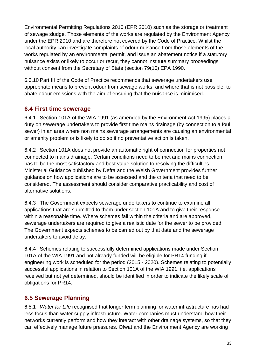<span id="page-36-0"></span>Environmental Permitting Regulations 2010 (EPR 2010) such as the storage or treatment of sewage sludge. Those elements of the works are regulated by the Environment Agency under the EPR 2010 and are therefore not covered by the Code of Practice. Whilst the local authority can investigate complaints of odour nuisance from those elements of the works regulated by an environmental permit, and issue an abatement notice if a statutory nuisance exists or likely to occur or recur, they cannot institute summary proceedings without consent from the Secretary of State (section 79(10) EPA 1990.

6.3.10 Part III of the Code of Practice recommends that sewerage undertakers use appropriate means to prevent odour from sewage works, and where that is not possible, to abate odour emissions with the aim of ensuring that the nuisance is minimised.

#### **6.4 First time sewerage**

6.4.1 Section 101A of the WIA 1991 (as amended by the Environment Act 1995) places a duty on sewerage undertakers to provide first time mains drainage (by connection to a foul sewer) in an area where non mains sewerage arrangements are causing an environmental or amenity problem or is likely to do so if no preventative action is taken.

6.4.2 Section 101A does not provide an automatic right of connection for properties not connected to mains drainage. Certain conditions need to be met and mains connection has to be the most satisfactory and best value solution to resolving the difficulties. Ministerial Guidance published by Defra and the Welsh Government provides further guidance on how applications are to be assessed and the criteria that need to be considered. The assessment should consider comparative practicability and cost of alternative solutions.

6.4.3 The Government expects sewerage undertakers to continue to examine all applications that are submitted to them under section 101A and to give their response within a reasonable time. Where schemes fall within the criteria and are approved, sewerage undertakers are required to give a realistic date for the sewer to be provided. The Government expects schemes to be carried out by that date and the sewerage undertakers to avoid delay.

6.4.4 Schemes relating to successfully determined applications made under Section 101A of the WIA 1991 and not already funded will be eligible for PR14 funding if engineering work is scheduled for the period (2015 - 2020). Schemes relating to potentially successful applications in relation to Section 101A of the WIA 1991, i.e. applications received but not yet determined, should be identified in order to indicate the likely scale of obligations for PR14.

# **6.5 Sewerage Planning**

6.5.1 *Water for Life* recognised that longer term planning for water infrastructure has had less focus than water supply infrastructure. Water companies must understand how their networks currently perform and how they interact with other drainage systems, so that they can effectively manage future pressures. Ofwat and the Environment Agency are working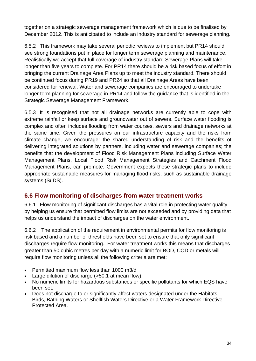<span id="page-37-0"></span>together on a strategic sewerage management framework which is due to be finalised by December 2012. This is anticipated to include an industry standard for sewerage planning.

6.5.2 This framework may take several periodic reviews to implement but PR14 should see strong foundations put in place for longer term sewerage planning and maintenance. Realistically we accept that full coverage of industry standard Sewerage Plans will take longer than five years to complete. For PR14 there should be a risk based focus of effort in bringing the current Drainage Area Plans up to meet the industry standard. There should be continued focus during PR19 and PR24 so that all Drainage Areas have been considered for renewal. Water and sewerage companies are encouraged to undertake longer term planning for sewerage in PR14 and follow the guidance that is identified in the Strategic Sewerage Management Framework.

6.5.3 It is recognised that not all drainage networks are currently able to cope with extreme rainfall or keep surface and groundwater out of sewers. Surface water flooding is complex and often includes flooding from water courses, sewers and drainage networks at the same time. Given the pressures on our infrastructure capacity and the risks from climate change, we encourage: the shared understanding of risk and the benefits of delivering integrated solutions by partners, including water and sewerage companies; the benefits that the development of Flood Risk Management Plans including Surface Water Management Plans, Local Flood Risk Management Strategies and Catchment Flood Management Plans, can promote. Government expects these strategic plans to include appropriate sustainable measures for managing flood risks, such as sustainable drainage systems (SuDS).

#### **6.6 Flow monitoring of discharges from water treatment works**

6.6.1 Flow monitoring of significant discharges has a vital role in protecting water quality by helping us ensure that permitted flow limits are not exceeded and by providing data that helps us understand the impact of discharges on the water environment.

6.6.2 The application of the requirement in environmental permits for flow monitoring is risk based and a number of thresholds have been set to ensure that only significant discharges require flow monitoring. For water treatment works this means that discharges greater than 50 cubic metres per day with a numeric limit for BOD, COD or metals will require flow monitoring unless all the following criteria are met:

- Permitted maximum flow less than 1000 m3/d
- Large dilution of discharge (>50:1 at mean flow).
- No numeric limits for hazardous substances or specific pollutants for which EQS have been set.
- Does not discharge to or significantly affect waters designated under the Habitats, Birds, Bathing Waters or Shellfish Waters Directive or a Water Framework Directive Protected Area.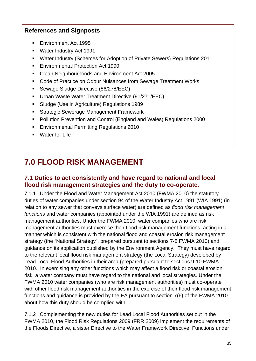### <span id="page-38-0"></span>**References and Signposts**

- **Environment Act 1995**
- **Water Industry Act 1991**
- Water Industry (Schemes for Adoption of Private Sewers) Regulations 2011
- **Environmental Protection Act 1990**
- Clean Neighbourhoods and Environment Act 2005
- Code of Practice on Odour Nuisances from Sewage Treatment Works
- **Sewage Sludge Directive (86/278/EEC)**
- **Urban Waste Water Treatment Directive (91/271/EEC)**
- Sludge (Use in Agriculture) Regulations 1989
- **Strategic Sewerage Management Framework**
- Pollution Prevention and Control (England and Wales) Regulations 2000
- **Environmental Permitting Regulations 2010**
- **•** Water for Life

# **7.0 FLOOD RISK MANAGEMENT**

#### **7.1 Duties to act consistently and have regard to national and local flood risk management strategies and the duty to co-operate.**

7.1.1 Under the Flood and Water Management Act 2010 (FWMA 2010) the statutory duties of water companies under section 94 of the Water Industry Act 1991 (WIA 1991) (in relation to any sewer that conveys surface water) are defined as *flood risk management functions* and water companies (appointed under the WIA 1991) are defined as risk management authorities. Under the FWMA 2010, water companies who are risk management authorities must exercise their flood risk management functions, acting in a manner which is consistent with the national flood and coastal erosion risk management strategy (the "National Strategy", prepared pursuant to sections 7-8 FWMA 2010) and guidance on its application published by the Environment Agency. They must have regard to the relevant local flood risk management strategy (the Local Strategy) developed by Lead Local Flood Authorities in their area (prepared pursuant to sections 9-10 FWMA 2010. In exercising any other functions which may affect a flood risk or coastal erosion risk, a water company must have regard to the national and local strategies. Under the FWMA 2010 water companies (who are risk management authorities) must co-operate with other flood risk management authorities in the exercise of their flood risk management functions and guidance is provided by the EA pursuant to section 7(6) of the FWMA 2010 about how this duty should be complied with.

7.1.2 Complementing the new duties for Lead Local Flood Authorities set out in the FWMA 2010, the Flood Risk Regulations 2009 (FRR 2009) implement the requirements of the Floods Directive, a sister Directive to the Water Framework Directive. Functions under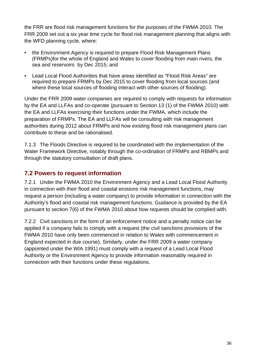<span id="page-39-0"></span>the FRR are flood risk management functions for the purposes of the FWMA 2010. The FRR 2009 set out a six year time cycle for flood risk management planning that aligns with the WFD planning cycle, where:

- the Environment Agency is required to prepare Flood Risk Management Plans (FRMPs)for the whole of England and Wales to cover flooding from main rivers, the sea and reservoirs by Dec 2015; and
- Lead Local Flood Authorities that have areas identified as "Flood Risk Areas" are required to prepare FRMPs by Dec 2015 to cover flooding from local sources (and where these local sources of flooding interact with other sources of flooding).

Under the FRR 2009 water companies are required to comply with requests for information by the EA and LLFAs and co-operate (pursuant to Section 13 (1) of the FWMA 2010) with the EA and LLFAs exercising their functions under the FWMA, which include the preparation of FRMPs. The EA and LLFAs will be consulting with risk management authorities during 2012 about FRMPs and how existing flood risk management plans can contribute to these and be rationalised.

7.1.3 The Floods Directive is required to be coordinated with the implementation of the Water Framework Directive, notably through the co-ordination of FRMPs and RBMPs and through the statutory consultation of draft plans.

## **7.2 Powers to request information**

7.2.1 Under the FWMA 2010 the Environment Agency and a Lead Local Flood Authority in connection with their flood and coastal erosions risk management functions, may request a person (including a water company) to provide information in connection with the Authority's flood and coastal risk management functions. Guidance is provided by the EA pursuant to section 7(6) of the FWMA 2010 about how requests should be complied with.

7.2.2 Civil sanctions in the form of an enforcement notice and a penalty notice can be applied if a company fails to comply with a request (the civil sanctions provisions of the FWMA 2010 have only been commenced in relation to Wales with commencement in England expected in due course). Similarly, under the FRR 2009 a water company (appointed under the WIA 1991) must comply with a request of a Lead Local Flood Authority or the Environment Agency to provide information reasonably required in connection with their functions under these regulations.